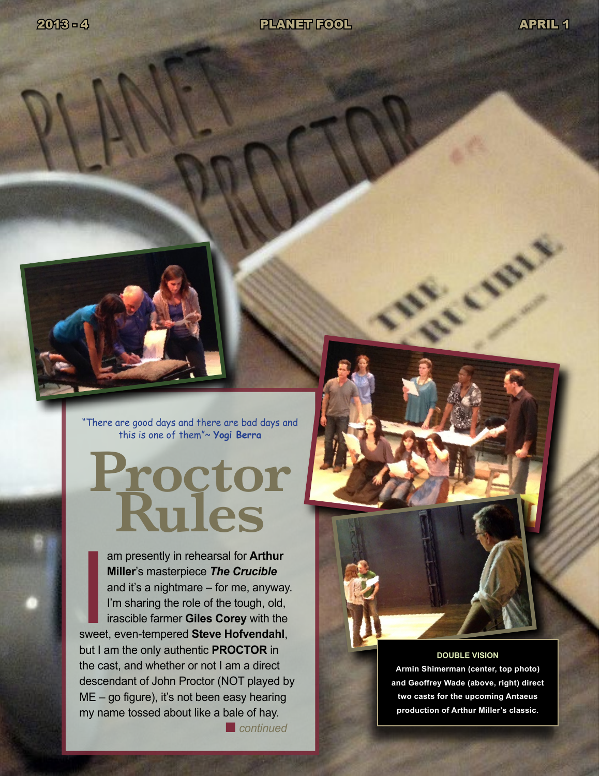Levy R.



"There are good days and there are bad days and this is one of them"~ **Yogi Berra**

# **Proctor Rules**

am presently in rehearsal for **Arthur**<br> **Miller's masterpiece The Crucible**<br>
and it's a nightmare – for me, anyway.<br>
I'm sharing the role of the tough, old,<br>
irascible farmer Giles Corey with the<br>
sweet, even-tempered Stev am presently in rehearsal for **Arthur Miller**'s masterpiece *The Crucible* and it's a nightmare – for me, anyway. I'm sharing the role of the tough, old, irascible farmer **Giles Corey** with the but I am the only authentic **PROCTOR** in the cast, and whether or not I am a direct descendant of John Proctor (NOT played by ME – go figure), it's not been easy hearing my name tossed about like a bale of hay.

**n** *continued* 



**DOUBLE VISION Armin Shimerman (center, top photo) and Geoffrey Wade (above, right) direct two casts for the upcoming Antaeus production of Arthur Miller's classic.**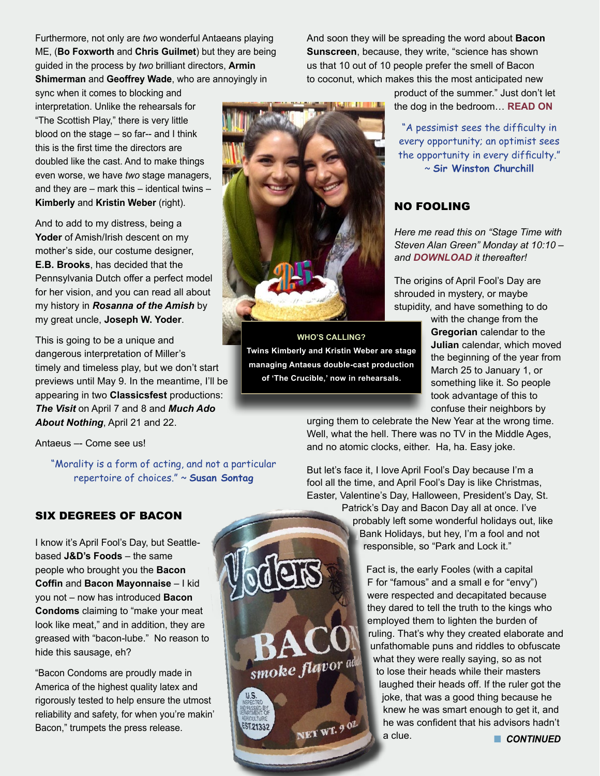Furthermore, not only are *two* wonderful Antaeans playing ME, (**Bo Foxworth** and **Chris Guilmet**) but they are being guided in the process by *two* brilliant directors, **Armin Shimerman** and **Geoffrey Wade**, who are annoyingly in

And soon they will be spreading the word about **Bacon Sunscreen**, because, they write, "science has shown us that 10 out of 10 people prefer the smell of Bacon to coconut, which makes this the most anticipated new

sync when it comes to blocking and interpretation. Unlike the rehearsals for "The Scottish Play," there is very little blood on the stage – so far-- and I think this is the first time the directors are doubled like the cast. And to make things even worse, we have *two* stage managers, and they are – mark this – identical twins – **Kimberly** and **Kristin Weber** (right).

And to add to my distress, being a Yoder of Amish/Irish descent on my mother's side, our costume designer, **E.B. Brooks**, has decided that the Pennsylvania Dutch offer a perfect model for her vision, and you can read all about my history in *Rosanna of the Amish* by my great uncle, **Joseph W. Yoder**.

This is going to be a unique and dangerous interpretation of Miller's timely and timeless play, but we don't start previews until May 9. In the meantime, I'll be appearing in two **Classicsfest** productions: *The Visit* on April 7 and 8 and *Much Ado About Nothing*, April 21 and 22.

Antaeus –- Come see us!

"Morality is a form of acting, and not a particular repertoire of choices." ~ **Susan Sontag**

product of the summer." Just don't let the dog in the bedroom… **[READ ON](http://www.foxnews.com/leisure/2013/03/28/company-releases-new-bacon-flavored-condoms/?intcmp=features#ixzz2Ox33SD1N)**

"A pessimist sees the difficulty in every opportunity; an optimist sees the opportunity in every difficulty." ~ **Sir Winston Churchill**

## NO FOOLING

*Here me read this on "Stage Time with Steven Alan Green" Monday at 10:10 – and [DOWNLOAD](http://www.fccfreeradio.com/?page_id=10830) it thereafter!*

The origins of April Fool's Day are shrouded in mystery, or maybe stupidity, and have something to do

with the change from the **Gregorian** calendar to the **Julian** calendar, which moved the beginning of the year from March 25 to January 1, or something like it. So people took advantage of this to confuse their neighbors by

urging them to celebrate the New Year at the wrong time. Well, what the hell. There was no TV in the Middle Ages, and no atomic clocks, either. Ha, ha. Easy joke.

But let's face it, I love April Fool's Day because I'm a fool all the time, and April Fool's Day is like Christmas, Easter, Valentine's Day, Halloween, President's Day, St.

Patrick's Day and Bacon Day all at once. I've probably left some wonderful holidays out, like Bank Holidays, but hey, I'm a fool and not responsible, so "Park and Lock it."

> Fact is, the early Fooles (with a capital F for "famous" and a small e for "envy") were respected and decapitated because they dared to tell the truth to the kings who employed them to lighten the burden of ruling. That's why they created elaborate and unfathomable puns and riddles to obfuscate what they were really saying, so as not to lose their heads while their masters laughed their heads off. If the ruler got the joke, that was a good thing because he knew he was smart enough to get it, and he was confident that his advisors hadn't a clue. *CONTINUED*

#### SIX DEGREES OF BACON

I know it's April Fool's Day, but Seattlebased **J&D's Foods** – the same people who brought you the **Bacon Coffin** and **Bacon Mayonnaise** – I kid you not – now has introduced **Bacon Condoms** claiming to "make your meat look like meat," and in addition, they are greased with "bacon-lube." No reason to hide this sausage, eh?

"Bacon Condoms are proudly made in America of the highest quality latex and rigorously tested to help ensure the utmost reliability and safety, for when you're makin' Bacon," trumpets the press release.



**WHO'S CALLING? Twins Kimberly and Kristin Weber are stage managing Antaeus double-cast production of 'The Crucible,' now in rehearsals.**

smoke flavor add

ST.21332

NET WT. 9 07.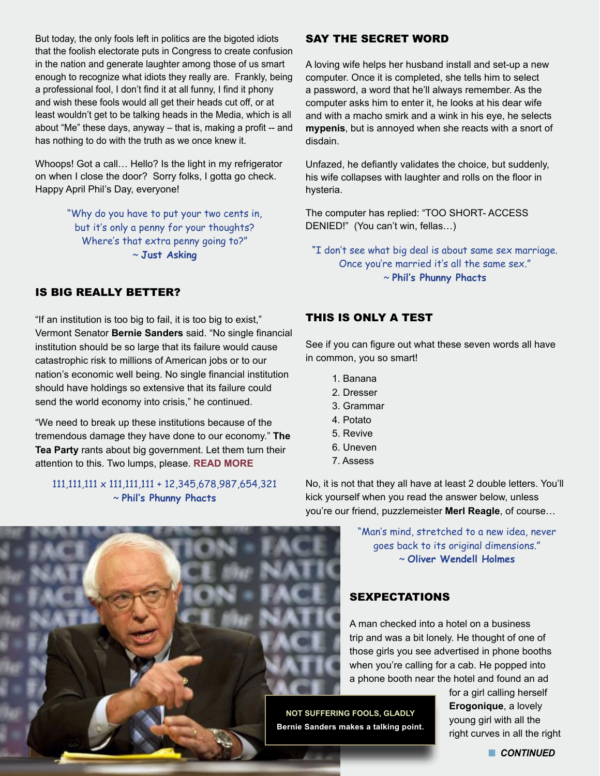But today, the only fools left in politics are the bigoted idiots that the foolish electorate puts in Congress to create confusion in the nation and generate laughter among those of us smart enough to recognize what idiots they really are. Frankly, being a professional fool, I don't find it at all funny, I find it phony and wish these fools would all get their heads cut off, or at least wouldn't get to be talking heads in the Media, which is all about "Me" these days, anyway – that is, making a profit -- and has nothing to do with the truth as we once knew it.

Whoops! Got a call… Hello? Is the light in my refrigerator on when I close the door? Sorry folks, I gotta go check. Happy April Phil's Day, everyone!

> "Why do you have to put your two cents in, but it's only a penny for your thoughts? Where's that extra penny going to?" ~ **Just Asking**

#### IS BIG REALLY BETTER?

"If an institution is too big to fail, it is too big to exist," Vermont Senator **Bernie Sanders** said. "No single financial institution should be so large that its failure would cause catastrophic risk to millions of American jobs or to our nation's economic well being. No single financial institution should have holdings so extensive that its failure could send the world economy into crisis," he continued.

"We need to break up these institutions because of the tremendous damage they have done to our economy." **The Tea Party** rants about big government. Let them turn their attention to this. Two lumps, please. **[READ MORE](http://www.commondreams.org/video/2013/03/27-1)**

#### 111,111,111 x 111,111,111 + 12,345,678,987,654,321 ~ **Phil's Phunny Phacts**

#### SAY THE SECRET WORD

A loving wife helps her husband install and set-up a new computer. Once it is completed, she tells him to select a password, a word that he'll always remember. As the computer asks him to enter it, he looks at his dear wife and with a macho smirk and a wink in his eye, he selects **mypenis**, but is annoyed when she reacts with a snort of disdain.

Unfazed, he defiantly validates the choice, but suddenly, his wife collapses with laughter and rolls on the floor in hysteria.

The computer has replied: "TOO SHORT- ACCESS DENIED!" (You can't win, fellas…)

"I don't see what big deal is about same sex marriage. Once you're married it's all the same sex." ~ **Phil's Phunny Phacts**

#### THIS IS ONLY A TEST

See if you can figure out what these seven words all have in common, you so smart!

- 1. Banana
- 2. Dresser
- 3. Grammar
- 4. Potato
- 5. Revive
- 6. Uneven
- 7. Assess

No, it is not that they all have at least 2 double letters. You'll kick yourself when you read the answer below, unless you're our friend, puzzlemeister **Merl Reagle**, of course…

> "Man's mind, stretched to a new idea, never goes back to its original dimensions." ~ **Oliver Wendell Holmes**

### SEXPECTATIONS

A man checked into a hotel on a business trip and was a bit lonely. He thought of one of those girls you see advertised in phone booths when you're calling for a cab. He popped into a phone booth near the hotel and found an ad

**NOT SUFFERING FOOLS, GLADLY Bernie Sanders makes a talking point.** for a girl calling herself **Erogonique**, a lovely young girl with all the right curves in all the right